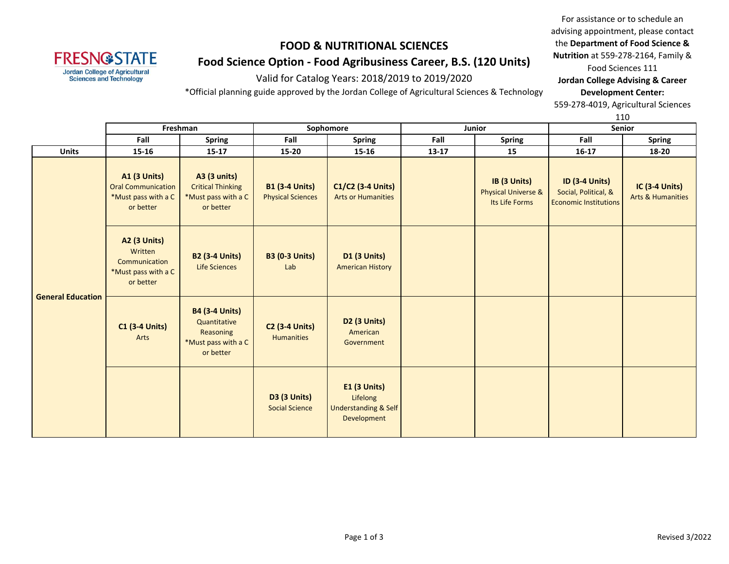# **FRESN@STATE Jordan College of Agricultural<br>Sciences and Technology**

# **FOOD & NUTRITIONAL SCIENCES Food Science Option - Food Agribusiness Career, B.S. (120 Units)**

Valid for Catalog Years: 2018/2019 to 2019/2020

\*Official planning guide approved by the Jordan College of Agricultural Sciences & Technology

For assistance or to schedule an advising appointment, please contact the **Department of Food Science & Nutrition** at 559-278-2164, Family & Food Sciences 111

**Jordan College Advising & Career Development Center:**

559-278-4019, Agricultural Sciences

110

|                          |                                                                                      | Freshman<br>Sophomore<br><b>Junior</b>                                                 |                                                   | ᆠᆂᇦ                                                                               | <b>Senior</b> |                                                                  |                                                                               |                                                       |
|--------------------------|--------------------------------------------------------------------------------------|----------------------------------------------------------------------------------------|---------------------------------------------------|-----------------------------------------------------------------------------------|---------------|------------------------------------------------------------------|-------------------------------------------------------------------------------|-------------------------------------------------------|
|                          | Fall                                                                                 | <b>Spring</b>                                                                          | Fall                                              | <b>Spring</b>                                                                     | Fall          | Spring                                                           | Fall                                                                          | <b>Spring</b>                                         |
| <b>Units</b>             | $15 - 16$                                                                            | $15 - 17$                                                                              | $15 - 20$                                         | 15-16                                                                             | $13 - 17$     | 15                                                               | $16 - 17$                                                                     | 18-20                                                 |
| <b>General Education</b> | <b>A1 (3 Units)</b><br><b>Oral Communication</b><br>*Must pass with a C<br>or better | <b>A3 (3 units)</b><br><b>Critical Thinking</b><br>*Must pass with a C<br>or better    | <b>B1 (3-4 Units)</b><br><b>Physical Sciences</b> | C1/C2 (3-4 Units)<br><b>Arts or Humanities</b>                                    |               | IB (3 Units)<br><b>Physical Universe &amp;</b><br>Its Life Forms | <b>ID (3-4 Units)</b><br>Social, Political, &<br><b>Economic Institutions</b> | <b>IC (3-4 Units)</b><br><b>Arts &amp; Humanities</b> |
|                          | <b>A2 (3 Units)</b><br>Written<br>Communication<br>*Must pass with a C<br>or better  | <b>B2 (3-4 Units)</b><br><b>Life Sciences</b>                                          | <b>B3 (0-3 Units)</b><br>Lab                      | <b>D1 (3 Units)</b><br><b>American History</b>                                    |               |                                                                  |                                                                               |                                                       |
|                          | <b>C1 (3-4 Units)</b><br>Arts                                                        | <b>B4 (3-4 Units)</b><br>Quantitative<br>Reasoning<br>*Must pass with a C<br>or better | <b>C2 (3-4 Units)</b><br><b>Humanities</b>        | D <sub>2</sub> (3 Units)<br>American<br>Government                                |               |                                                                  |                                                                               |                                                       |
|                          |                                                                                      |                                                                                        | <b>D3 (3 Units)</b><br><b>Social Science</b>      | <b>E1 (3 Units)</b><br>Lifelong<br><b>Understanding &amp; Self</b><br>Development |               |                                                                  |                                                                               |                                                       |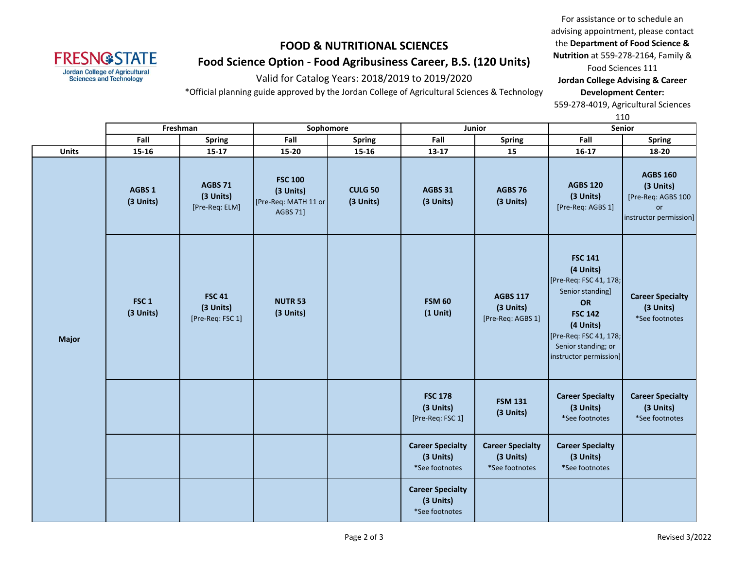# **FOOD & NUTRITIONAL SCIENCES Food Science Option - Food Agribusiness Career, B.S. (120 Units)**

**FRESN@STATE** Jordan College of Agricultural<br>Sciences and Technology

Valid for Catalog Years: 2018/2019 to 2019/2020

\*Official planning guide approved by the Jordan College of Agricultural Sciences & Technology

For assistance or to schedule an advising appointment, please contact the **Department of Food Science & Nutrition** at 559-278-2164, Family & Food Sciences 111

**Jordan College Advising & Career Development Center:**

559-278-4019, Agricultural Sciences

110

|              | Freshman<br>Sophomore<br>Junior |                                                |                                                                        | ---<br>Senior               |                                                        |                                                        |                                                                                                                                                                                           |                                                                                    |
|--------------|---------------------------------|------------------------------------------------|------------------------------------------------------------------------|-----------------------------|--------------------------------------------------------|--------------------------------------------------------|-------------------------------------------------------------------------------------------------------------------------------------------------------------------------------------------|------------------------------------------------------------------------------------|
|              | Fall                            | Spring                                         | Fall                                                                   | <b>Spring</b>               | Fall                                                   | <b>Spring</b>                                          | Fall                                                                                                                                                                                      | <b>Spring</b>                                                                      |
| <b>Units</b> | $15 - 16$                       | $15 - 17$                                      | $15 - 20$                                                              | $15 - 16$                   | $13 - 17$                                              | 15                                                     | $16-17$                                                                                                                                                                                   | 18-20                                                                              |
|              | AGBS 1<br>(3 Units)             | AGBS 71<br>(3 Units)<br>[Pre-Req: ELM]         | <b>FSC 100</b><br>(3 Units)<br>[Pre-Req: MATH 11 or<br><b>AGBS 71]</b> | <b>CULG 50</b><br>(3 Units) | <b>AGBS 31</b><br>(3 Units)                            | <b>AGBS 76</b><br>(3 Units)                            | <b>AGBS 120</b><br>(3 Units)<br>[Pre-Req: AGBS 1]                                                                                                                                         | <b>AGBS 160</b><br>(3 Units)<br>[Pre-Req: AGBS 100<br>or<br>instructor permission] |
| <b>Major</b> | FSC <sub>1</sub><br>(3 Units)   | <b>FSC 41</b><br>(3 Units)<br>[Pre-Req: FSC 1] | <b>NUTR 53</b><br>(3 Units)                                            |                             | <b>FSM 60</b><br>$(1$ Unit)                            | <b>AGBS 117</b><br>(3 Units)<br>[Pre-Req: AGBS 1]      | <b>FSC 141</b><br>(4 Units)<br>[Pre-Req: FSC 41, 178;<br>Senior standing]<br>OR<br><b>FSC 142</b><br>(4 Units)<br>[Pre-Req: FSC 41, 178;<br>Senior standing; or<br>instructor permission] | <b>Career Specialty</b><br>(3 Units)<br>*See footnotes                             |
|              |                                 |                                                |                                                                        |                             | <b>FSC 178</b><br>(3 Units)<br>[Pre-Req: FSC 1]        | <b>FSM 131</b><br>(3 Units)                            | <b>Career Specialty</b><br>(3 Units)<br>*See footnotes                                                                                                                                    | <b>Career Specialty</b><br>(3 Units)<br>*See footnotes                             |
|              |                                 |                                                |                                                                        |                             | <b>Career Specialty</b><br>(3 Units)<br>*See footnotes | <b>Career Specialty</b><br>(3 Units)<br>*See footnotes | <b>Career Specialty</b><br>(3 Units)<br>*See footnotes                                                                                                                                    |                                                                                    |
|              |                                 |                                                |                                                                        |                             | <b>Career Specialty</b><br>(3 Units)<br>*See footnotes |                                                        |                                                                                                                                                                                           |                                                                                    |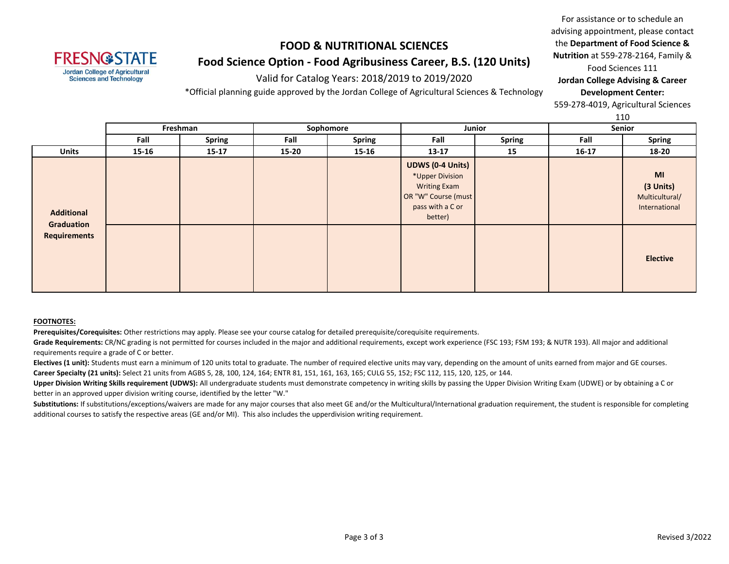# **FOOD & NUTRITIONAL SCIENCES Food Science Option - Food Agribusiness Career, B.S. (120 Units)**

Valid for Catalog Years: 2018/2019 to 2019/2020

\*Official planning guide approved by the Jordan College of Agricultural Sciences & Technology

For assistance or to schedule an advising appointment, please contact the **Department of Food Science & Nutrition** at 559-278-2164, Family & Food Sciences 111 **Jordan College Advising & Career** 

**Development Center:**

559-278-4019, Agricultural Sciences

110

|                                   | TTA   |               |           |               |                                                                                                                         |    |         |                                                    |  |  |
|-----------------------------------|-------|---------------|-----------|---------------|-------------------------------------------------------------------------------------------------------------------------|----|---------|----------------------------------------------------|--|--|
|                                   |       | Freshman      | Sophomore |               | Junior                                                                                                                  |    |         | Senior                                             |  |  |
|                                   | Fall  | <b>Spring</b> | Fall      | <b>Spring</b> | Fall<br><b>Spring</b>                                                                                                   |    | Fall    | <b>Spring</b>                                      |  |  |
| <b>Units</b>                      | 15-16 | $15-17$       | $15 - 20$ | $15 - 16$     | $13 - 17$                                                                                                               | 15 | $16-17$ | 18-20                                              |  |  |
| <b>Additional</b>                 |       |               |           |               | <b>UDWS (0-4 Units)</b><br>*Upper Division<br><b>Writing Exam</b><br>OR "W" Course (must<br>pass with a C or<br>better) |    |         | MI<br>(3 Units)<br>Multicultural/<br>International |  |  |
| Graduation<br><b>Requirements</b> |       |               |           |               |                                                                                                                         |    |         | <b>Elective</b>                                    |  |  |

#### **FOOTNOTES:**

**FRESN@STATE Jordan College of Agricultural Sciences and Technology** 

**Prerequisites/Corequisites:** Other restrictions may apply. Please see your course catalog for detailed prerequisite/corequisite requirements.

Grade Requirements: CR/NC grading is not permitted for courses included in the major and additional requirements, except work experience (FSC 193; FSM 193; & NUTR 193). All major and additional requirements require a grade of C or better.

Electives (1 unit): Students must earn a minimum of 120 units total to graduate. The number of required elective units may vary, depending on the amount of units earned from major and GE courses. **Career Specialty (21 units):** Select 21 units from AGBS 5, 28, 100, 124, 164; ENTR 81, 151, 161, 163, 165; CULG 55, 152; FSC 112, 115, 120, 125, or 144.

Upper Division Writing Skills requirement (UDWS): All undergraduate students must demonstrate competency in writing skills by passing the Upper Division Writing Exam (UDWE) or by obtaining a C or better in an approved upper division writing course, identified by the letter "W."

Substitutions: If substitutions/exceptions/waivers are made for any major courses that also meet GE and/or the Multicultural/International graduation requirement, the student is responsible for completing additional courses to satisfy the respective areas (GE and/or MI). This also includes the upperdivision writing requirement.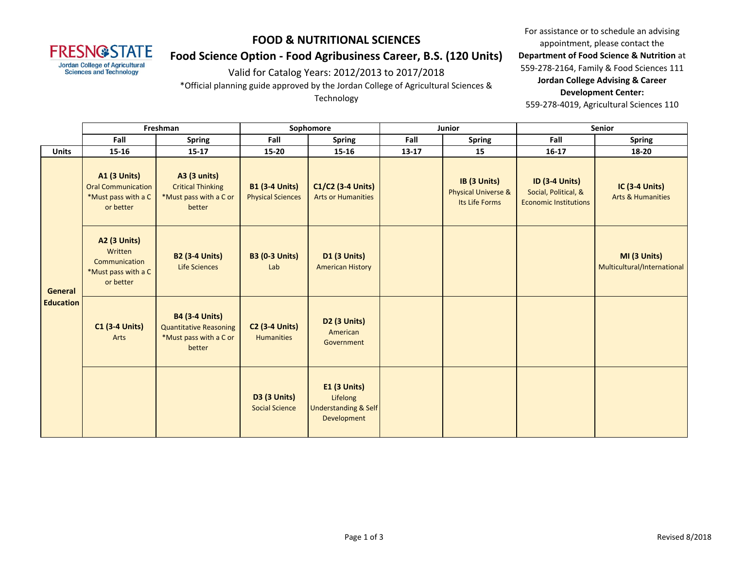

#### **FOOD & NUTRITIONAL SCIENCES**

## **Food Science Option - Food Agribusiness Career, B.S. (120 Units)**

Valid for Catalog Years: 2012/2013 to 2017/2018

\*Official planning guide approved by the Jordan College of Agricultural Sciences &

Technology

For assistance or to schedule an advising appointment, please contact the **Department of Food Science & Nutrition** at 559-278-2164, Family & Food Sciences 111 **Jordan College Advising & Career Development Center:**

559-278-4019, Agricultural Sciences 110

|                             | Freshman                                                                             |                                                                                            | Sophomore                                         |                                                                                   | Junior    |                                                                  | Senior                                                                        |                                                       |
|-----------------------------|--------------------------------------------------------------------------------------|--------------------------------------------------------------------------------------------|---------------------------------------------------|-----------------------------------------------------------------------------------|-----------|------------------------------------------------------------------|-------------------------------------------------------------------------------|-------------------------------------------------------|
|                             | Fall                                                                                 | <b>Spring</b>                                                                              | Fall                                              | <b>Spring</b>                                                                     | Fall      | <b>Spring</b>                                                    | Fall                                                                          | <b>Spring</b>                                         |
| <b>Units</b>                | 15-16                                                                                | $15 - 17$                                                                                  | 15-20                                             | 15-16                                                                             | $13 - 17$ | 15                                                               | $16-17$                                                                       | 18-20                                                 |
| General<br><b>Education</b> | <b>A1 (3 Units)</b><br><b>Oral Communication</b><br>*Must pass with a C<br>or better | <b>A3 (3 units)</b><br><b>Critical Thinking</b><br>*Must pass with a C or<br>better        | <b>B1 (3-4 Units)</b><br><b>Physical Sciences</b> | C1/C2 (3-4 Units)<br><b>Arts or Humanities</b>                                    |           | IB (3 Units)<br><b>Physical Universe &amp;</b><br>Its Life Forms | <b>ID (3-4 Units)</b><br>Social, Political, &<br><b>Economic Institutions</b> | <b>IC (3-4 Units)</b><br><b>Arts &amp; Humanities</b> |
|                             | <b>A2 (3 Units)</b><br>Written<br>Communication<br>*Must pass with a C<br>or better  | <b>B2 (3-4 Units)</b><br><b>Life Sciences</b>                                              | <b>B3 (0-3 Units)</b><br>Lab                      | <b>D1 (3 Units)</b><br><b>American History</b>                                    |           |                                                                  |                                                                               | MI (3 Units)<br>Multicultural/International           |
|                             | <b>C1 (3-4 Units)</b><br>Arts                                                        | <b>B4 (3-4 Units)</b><br><b>Quantitative Reasoning</b><br>*Must pass with a C or<br>better | <b>C2 (3-4 Units)</b><br><b>Humanities</b>        | <b>D2 (3 Units)</b><br>American<br>Government                                     |           |                                                                  |                                                                               |                                                       |
|                             |                                                                                      |                                                                                            | <b>D3 (3 Units)</b><br><b>Social Science</b>      | <b>E1 (3 Units)</b><br>Lifelong<br><b>Understanding &amp; Self</b><br>Development |           |                                                                  |                                                                               |                                                       |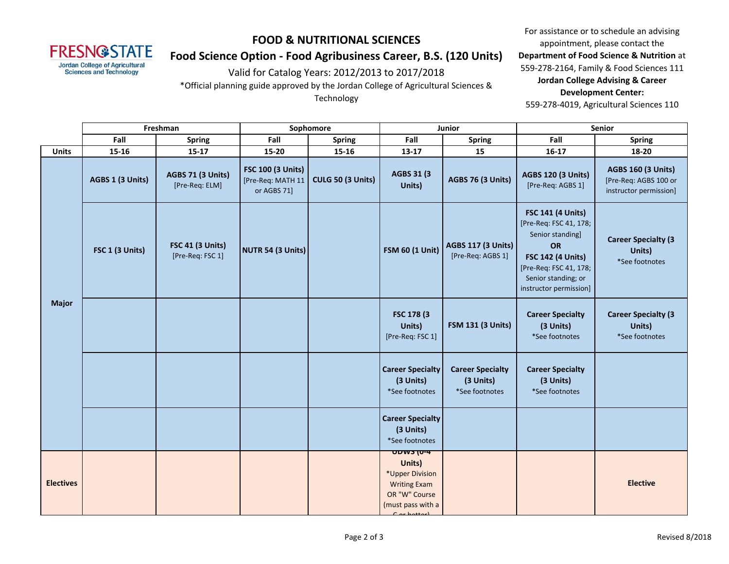

#### **FOOD & NUTRITIONAL SCIENCES**

## **Food Science Option - Food Agribusiness Career, B.S. (120 Units)**

Valid for Catalog Years: 2012/2013 to 2017/2018

\*Official planning guide approved by the Jordan College of Agricultural Sciences &

Technology

For assistance or to schedule an advising appointment, please contact the **Department of Food Science & Nutrition** at 559-278-2164, Family & Food Sciences 111 **Jordan College Advising & Career Development Center:**

559-278-4019, Agricultural Sciences 110

|                  | Freshman         |                                             | Sophomore                                                    |                   | Junior                                                                                                                                                                              |                                                        | Senior                                                                                                                                                                                     |                                                                              |
|------------------|------------------|---------------------------------------------|--------------------------------------------------------------|-------------------|-------------------------------------------------------------------------------------------------------------------------------------------------------------------------------------|--------------------------------------------------------|--------------------------------------------------------------------------------------------------------------------------------------------------------------------------------------------|------------------------------------------------------------------------------|
|                  | Fall             | <b>Spring</b>                               | Fall                                                         | <b>Spring</b>     | Fall                                                                                                                                                                                | <b>Spring</b>                                          | Fall                                                                                                                                                                                       | <b>Spring</b>                                                                |
| <b>Units</b>     | 15-16            | $15-17$                                     | 15-20                                                        | $15 - 16$         | 13-17                                                                                                                                                                               | 15                                                     | $16 - 17$                                                                                                                                                                                  | 18-20                                                                        |
| <b>Major</b>     | AGBS 1 (3 Units) | AGBS 71 (3 Units)<br>[Pre-Req: ELM]         | <b>FSC 100 (3 Units)</b><br>[Pre-Req: MATH 11<br>or AGBS 71] | CULG 50 (3 Units) | AGBS 31 (3)<br>Units)                                                                                                                                                               | AGBS 76 (3 Units)                                      | <b>AGBS 120 (3 Units)</b><br>[Pre-Req: AGBS 1]                                                                                                                                             | <b>AGBS 160 (3 Units)</b><br>[Pre-Req: AGBS 100 or<br>instructor permission] |
|                  | FSC 1 (3 Units)  | <b>FSC 41 (3 Units)</b><br>[Pre-Req: FSC 1] | NUTR 54 (3 Units)                                            |                   | <b>FSM 60 (1 Unit)</b>                                                                                                                                                              | <b>AGBS 117 (3 Units)</b><br>[Pre-Req: AGBS 1]         | <b>FSC 141 (4 Units)</b><br>[Pre-Req: FSC 41, 178;<br>Senior standing]<br><b>OR</b><br><b>FSC 142 (4 Units)</b><br>[Pre-Req: FSC 41, 178;<br>Senior standing; or<br>instructor permission] | <b>Career Specialty (3</b><br>Units)<br>*See footnotes                       |
|                  |                  |                                             |                                                              |                   | FSC 178 (3)<br>Units)<br>[Pre-Req: FSC 1]                                                                                                                                           | <b>FSM 131 (3 Units)</b>                               | <b>Career Specialty</b><br>(3 Units)<br>*See footnotes                                                                                                                                     | <b>Career Specialty (3</b><br>Units)<br>*See footnotes                       |
|                  |                  |                                             |                                                              |                   | <b>Career Specialty</b><br>(3 Units)<br>*See footnotes                                                                                                                              | <b>Career Specialty</b><br>(3 Units)<br>*See footnotes | <b>Career Specialty</b><br>(3 Units)<br>*See footnotes                                                                                                                                     |                                                                              |
|                  |                  |                                             |                                                              |                   | <b>Career Specialty</b><br>(3 Units)<br>*See footnotes                                                                                                                              |                                                        |                                                                                                                                                                                            |                                                                              |
| <b>Electives</b> |                  |                                             |                                                              |                   | $\overline{U}$ $\overline{U}$ $\overline{V}$ $\overline{V}$ $\overline{V}$ $\overline{V}$<br>Units)<br>*Upper Division<br><b>Writing Exam</b><br>OR "W" Course<br>(must pass with a |                                                        |                                                                                                                                                                                            | <b>Elective</b>                                                              |